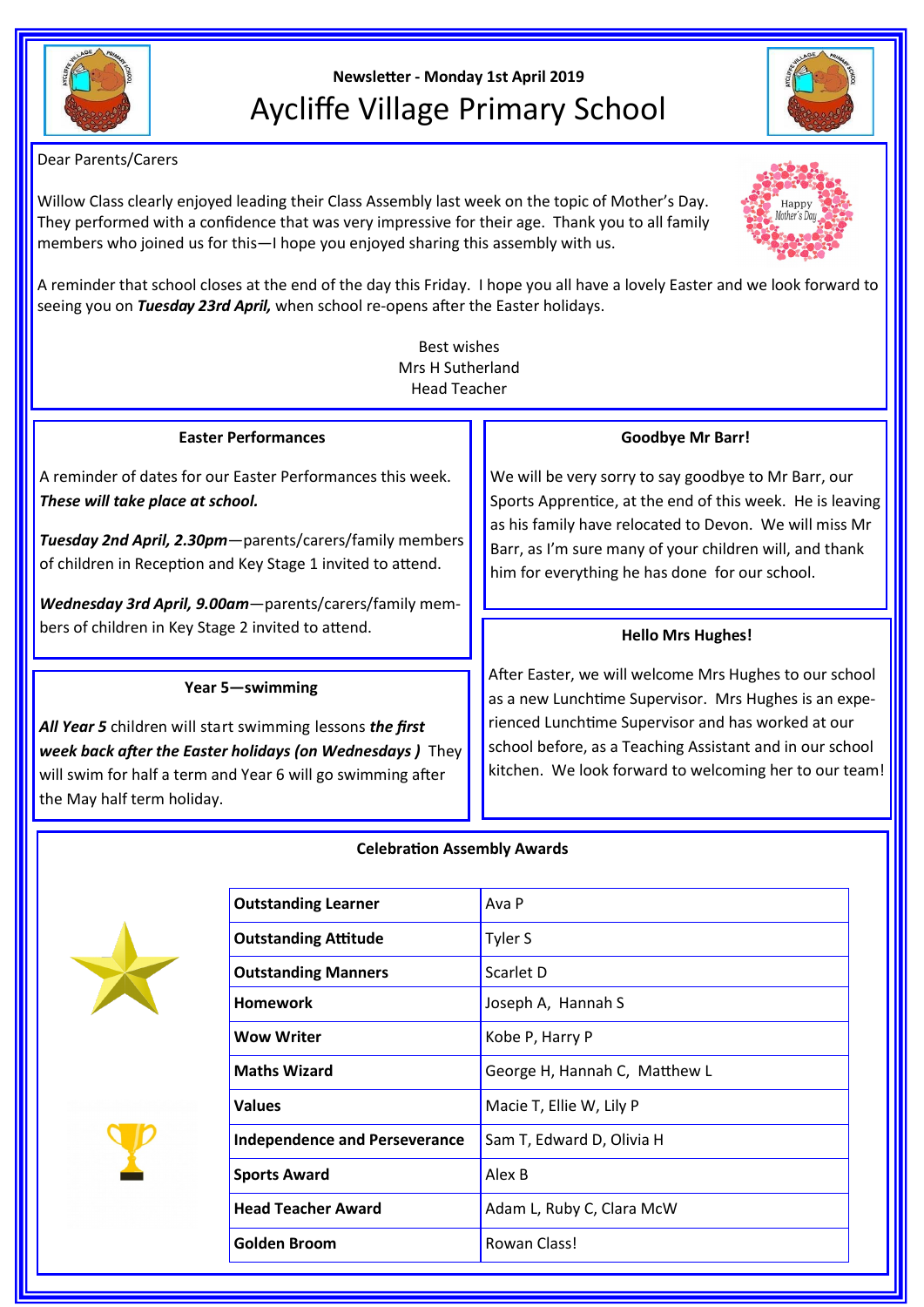

# **Newsletter - Monday 1st April 2019** Aycliffe Village Primary School

Dear Parents/Carers

Willow Class clearly enjoyed leading their Class Assembly last week on the topic of Mother's Day. They performed with a confidence that was very impressive for their age. Thank you to all family members who joined us for this—I hope you enjoyed sharing this assembly with us.



Best wishes Mrs H Sutherland Head Teacher

#### **Easter Performances**

A reminder of dates for our Easter Performances this week. *These will take place at school.*

*Tuesday 2nd April, 2.30pm*—parents/carers/family members of children in Reception and Key Stage 1 invited to attend.

*Wednesday 3rd April, 9.00am*—parents/carers/family members of children in Key Stage 2 invited to attend.

# **Year 5—swimming**

*All Year 5* children will start swimming lessons *the first week back after the Easter holidays (on Wednesdays )* They will swim for half a term and Year 6 will go swimming after the May half term holiday.

## **Goodbye Mr Barr!**

We will be very sorry to say goodbye to Mr Barr, our Sports Apprentice, at the end of this week. He is leaving as his family have relocated to Devon. We will miss Mr Barr, as I'm sure many of your children will, and thank him for everything he has done for our school.

# **Hello Mrs Hughes!**

After Easter, we will welcome Mrs Hughes to our school as a new Lunchtime Supervisor. Mrs Hughes is an experienced Lunchtime Supervisor and has worked at our school before, as a Teaching Assistant and in our school kitchen. We look forward to welcoming her to our team!

## **Celebration Assembly Awards**





| <b>Outstanding Learner</b>           | Ava P                         |  |
|--------------------------------------|-------------------------------|--|
| <b>Outstanding Attitude</b>          | Tyler S                       |  |
| <b>Outstanding Manners</b>           | Scarlet D                     |  |
| Homework                             | Joseph A, Hannah S            |  |
| Wow Writer                           | Kobe P, Harry P               |  |
| <b>Maths Wizard</b>                  | George H, Hannah C, Matthew L |  |
| Values                               | Macie T, Ellie W, Lily P      |  |
| <b>Independence and Perseverance</b> | Sam T, Edward D, Olivia H     |  |
| <b>Sports Award</b>                  | Alex B                        |  |
| <b>Head Teacher Award</b>            | Adam L, Ruby C, Clara McW     |  |
| Golden Broom                         | Rowan Class!                  |  |
|                                      |                               |  |



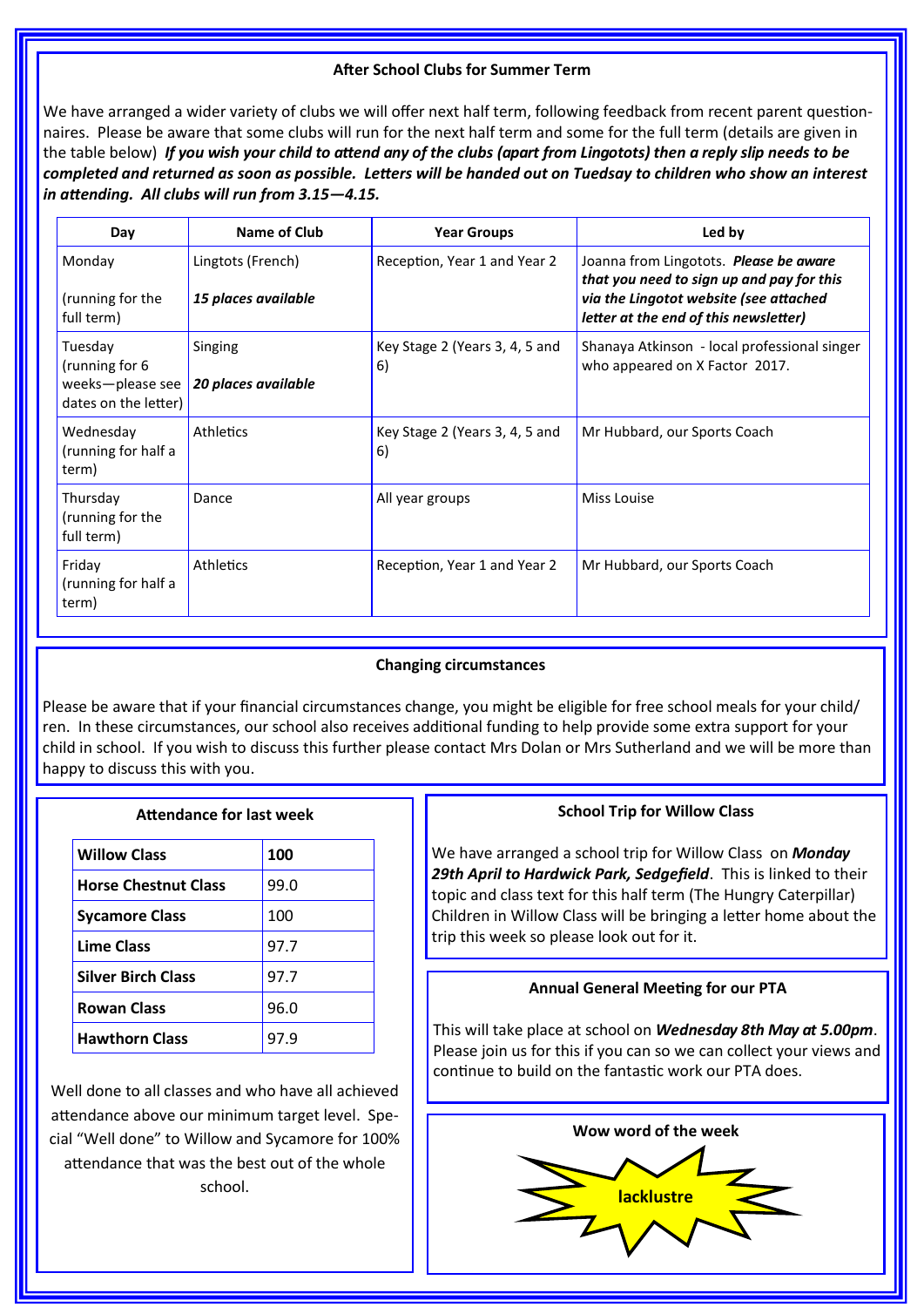## **After School Clubs for Summer Term**

We have arranged a wider variety of clubs we will offer next half term, following feedback from recent parent questionnaires. Please be aware that some clubs will run for the next half term and some for the full term (details are given in the table below) *If you wish your child to attend any of the clubs (apart from Lingotots) then a reply slip needs to be completed and returned as soon as possible. Letters will be handed out on Tuedsay to children who show an interest in attending. All clubs will run from 3.15—4.15.*

| Day                                                                    | Name of Club                             | <b>Year Groups</b>                   | Led by                                                                                                                                                                 |
|------------------------------------------------------------------------|------------------------------------------|--------------------------------------|------------------------------------------------------------------------------------------------------------------------------------------------------------------------|
| Monday<br>(running for the<br>full term)                               | Lingtots (French)<br>15 places available | Reception, Year 1 and Year 2         | Joanna from Lingotots. Please be aware<br>that you need to sign up and pay for this<br>via the Lingotot website (see attached<br>letter at the end of this newsletter) |
| Tuesday<br>(running for 6)<br>weeks-please see<br>dates on the letter) | Singing<br>20 places available           | Key Stage 2 (Years 3, 4, 5 and<br>6) | Shanaya Atkinson - local professional singer<br>who appeared on X Factor 2017.                                                                                         |
| Wednesday<br>(running for half a<br>term)                              | <b>Athletics</b>                         | Key Stage 2 (Years 3, 4, 5 and<br>6) | Mr Hubbard, our Sports Coach                                                                                                                                           |
| Thursday<br>(running for the<br>full term)                             | Dance                                    | All year groups                      | Miss Louise                                                                                                                                                            |
| Friday<br>(running for half a<br>term)                                 | <b>Athletics</b>                         | Reception, Year 1 and Year 2         | Mr Hubbard, our Sports Coach                                                                                                                                           |

#### **Changing circumstances**

Please be aware that if your financial circumstances change, you might be eligible for free school meals for your child/ ren. In these circumstances, our school also receives additional funding to help provide some extra support for your child in school. If you wish to discuss this further please contact Mrs Dolan or Mrs Sutherland and we will be more than happy to discuss this with you.

## **Attendance for last week**

| <b>Willow Class</b>         | 100  |
|-----------------------------|------|
| <b>Horse Chestnut Class</b> | 99.0 |
| <b>Sycamore Class</b>       | 100  |
| <b>Lime Class</b>           | 97.7 |
| <b>Silver Birch Class</b>   | 97.7 |
| <b>Rowan Class</b>          | 96.0 |
| <b>Hawthorn Class</b>       | 97.9 |

Well done to all classes and who have all achieved attendance above our minimum target level. Special "Well done" to Willow and Sycamore for 100% attendance that was the best out of the whole school.

#### **School Trip for Willow Class**

We have arranged a school trip for Willow Class on *Monday 29th April to Hardwick Park, Sedgefield*. This is linked to their topic and class text for this half term (The Hungry Caterpillar) Children in Willow Class will be bringing a letter home about the trip this week so please look out for it.

#### **Annual General Meeting for our PTA**

This will take place at school on *Wednesday 8th May at 5.00pm*. Please join us for this if you can so we can collect your views and continue to build on the fantastic work our PTA does.